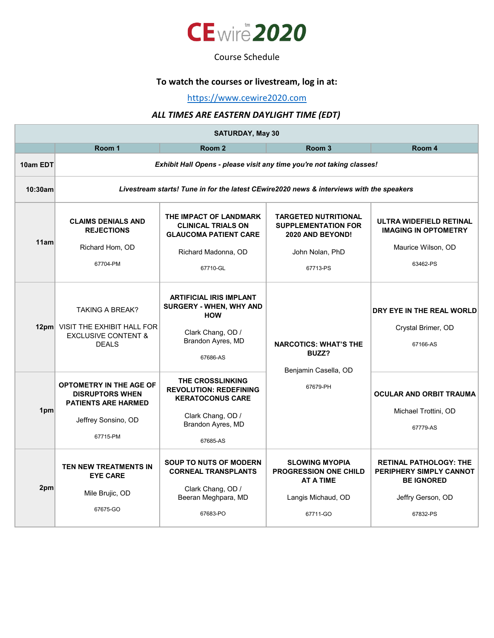

#### Course Schedule

# **To watch the courses or livestream, log in at:**

https://www.cewire2020.com

### *ALL TIMES ARE EASTERN DAYLIGHT TIME (EDT)*

| <b>SATURDAY, May 30</b> |                                                                                                                           |                                                                                                                                    |                                                                                                              |                                                                                                                |  |
|-------------------------|---------------------------------------------------------------------------------------------------------------------------|------------------------------------------------------------------------------------------------------------------------------------|--------------------------------------------------------------------------------------------------------------|----------------------------------------------------------------------------------------------------------------|--|
|                         | Room 1                                                                                                                    | Room <sub>2</sub>                                                                                                                  | Room <sub>3</sub>                                                                                            | Room 4                                                                                                         |  |
| 10am EDT                | Exhibit Hall Opens - please visit any time you're not taking classes!                                                     |                                                                                                                                    |                                                                                                              |                                                                                                                |  |
| 10:30am                 | Livestream starts! Tune in for the latest CEwire 2020 news & interviews with the speakers                                 |                                                                                                                                    |                                                                                                              |                                                                                                                |  |
| 11am                    | <b>CLAIMS DENIALS AND</b><br><b>REJECTIONS</b><br>Richard Hom, OD<br>67704-PM                                             | THE IMPACT OF LANDMARK<br><b>CLINICAL TRIALS ON</b><br><b>GLAUCOMA PATIENT CARE</b><br>Richard Madonna, OD<br>67710-GL             | <b>TARGETED NUTRITIONAL</b><br><b>SUPPLEMENTATION FOR</b><br>2020 AND BEYOND!<br>John Nolan, PhD<br>67713-PS | <b>ULTRA WIDEFIELD RETINAL</b><br><b>IMAGING IN OPTOMETRY</b><br>Maurice Wilson, OD<br>63462-PS                |  |
|                         | <b>TAKING A BREAK?</b><br>12pm VISIT THE EXHIBIT HALL FOR<br><b>EXCLUSIVE CONTENT &amp;</b><br><b>DEALS</b>               | <b>ARTIFICIAL IRIS IMPLANT</b><br>SURGERY - WHEN, WHY AND<br><b>HOW</b><br>Clark Chang, OD /<br>Brandon Ayres, MD<br>67686-AS      | <b>NARCOTICS: WHAT'S THE</b><br>BUZZ?<br>Benjamin Casella, OD<br>67679-PH                                    | DRY EYE IN THE REAL WORLD<br>Crystal Brimer, OD<br>67166-AS                                                    |  |
| 1pm                     | <b>OPTOMETRY IN THE AGE OF</b><br><b>DISRUPTORS WHEN</b><br><b>PATIENTS ARE HARMED</b><br>Jeffrey Sonsino, OD<br>67715-PM | THE CROSSLINKING<br><b>REVOLUTION: REDEFINING</b><br><b>KERATOCONUS CARE</b><br>Clark Chang, OD /<br>Brandon Ayres, MD<br>67685-AS |                                                                                                              | <b>OCULAR AND ORBIT TRAUMA</b><br>Michael Trottini, OD<br>67779-AS                                             |  |
| 2pm                     | TEN NEW TREATMENTS IN<br><b>EYE CARE</b><br>Mile Brujic, OD<br>67675-GO                                                   | <b>SOUP TO NUTS OF MODERN</b><br><b>CORNEAL TRANSPLANTS</b><br>Clark Chang, OD /<br>Beeran Meghpara, MD<br>67683-PO                | <b>SLOWING MYOPIA</b><br><b>PROGRESSION ONE CHILD</b><br><b>AT A TIME</b><br>Langis Michaud, OD<br>67711-GO  | <b>RETINAL PATHOLOGY: THE</b><br>PERIPHERY SIMPLY CANNOT<br><b>BE IGNORED</b><br>Jeffry Gerson, OD<br>67832-PS |  |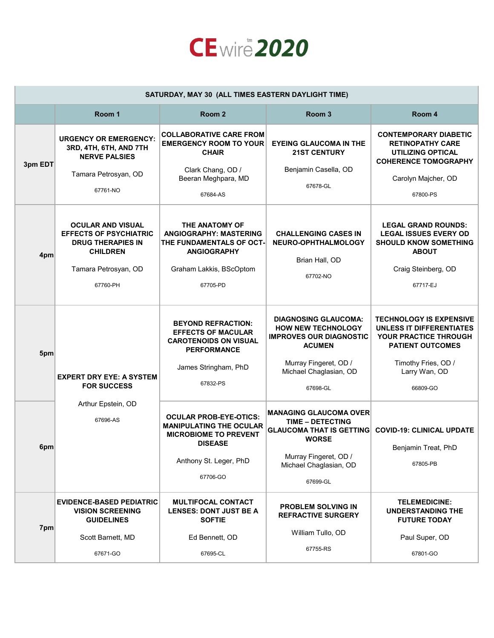

| SATURDAY, MAY 30 (ALL TIMES EASTERN DAYLIGHT TIME) |                                                                                                                                              |                                                                                                                                                         |                                                                                                                                                                            |                                                                                                                                                                           |
|----------------------------------------------------|----------------------------------------------------------------------------------------------------------------------------------------------|---------------------------------------------------------------------------------------------------------------------------------------------------------|----------------------------------------------------------------------------------------------------------------------------------------------------------------------------|---------------------------------------------------------------------------------------------------------------------------------------------------------------------------|
|                                                    | Room 1                                                                                                                                       | Room <sub>2</sub>                                                                                                                                       | Room <sub>3</sub>                                                                                                                                                          | Room 4                                                                                                                                                                    |
| 3pm EDT                                            | <b>URGENCY OR EMERGENCY:</b><br>3RD, 4TH, 6TH, AND 7TH<br><b>NERVE PALSIES</b><br>Tamara Petrosyan, OD<br>67761-NO                           | <b>COLLABORATIVE CARE FROM</b><br><b>EMERGENCY ROOM TO YOUR</b><br><b>CHAIR</b><br>Clark Chang, OD /<br>Beeran Meghpara, MD<br>67684-AS                 | <b>EYEING GLAUCOMA IN THE</b><br><b>21ST CENTURY</b><br>Benjamin Casella, OD<br>67678-GL                                                                                   | <b>CONTEMPORARY DIABETIC</b><br><b>RETINOPATHY CARE</b><br>UTILIZING OPTICAL<br><b>COHERENCE TOMOGRAPHY</b><br>Carolyn Majcher, OD<br>67800-PS                            |
| 4pm                                                | <b>OCULAR AND VISUAL</b><br><b>EFFECTS OF PSYCHIATRIC</b><br><b>DRUG THERAPIES IN</b><br><b>CHILDREN</b><br>Tamara Petrosyan, OD<br>67760-PH | THE ANATOMY OF<br><b>ANGIOGRAPHY: MASTERING</b><br>THE FUNDAMENTALS OF OCT-<br><b>ANGIOGRAPHY</b><br>Graham Lakkis, BScOptom<br>67705-PD                | <b>CHALLENGING CASES IN</b><br>NEURO-OPHTHALMOLOGY<br>Brian Hall, OD<br>67702-NO                                                                                           | <b>LEGAL GRAND ROUNDS:</b><br><b>LEGAL ISSUES EVERY OD</b><br><b>SHOULD KNOW SOMETHING</b><br><b>ABOUT</b><br>Craig Steinberg, OD<br>67717-EJ                             |
| 5pm                                                | <b>EXPERT DRY EYE: A SYSTEM</b><br><b>FOR SUCCESS</b>                                                                                        | <b>BEYOND REFRACTION:</b><br><b>EFFECTS OF MACULAR</b><br><b>CAROTENOIDS ON VISUAL</b><br><b>PERFORMANCE</b><br>James Stringham, PhD<br>67832-PS        | <b>DIAGNOSING GLAUCOMA:</b><br><b>HOW NEW TECHNOLOGY</b><br><b>IMPROVES OUR DIAGNOSTIC</b><br><b>ACUMEN</b><br>Murray Fingeret, OD /<br>Michael Chaglasian, OD<br>67698-GL | <b>TECHNOLOGY IS EXPENSIVE</b><br><b>UNLESS IT DIFFERENTIATES</b><br>YOUR PRACTICE THROUGH<br><b>PATIENT OUTCOMES</b><br>Timothy Fries, OD /<br>Larry Wan, OD<br>66809-GO |
| $6$ pm                                             | Arthur Epstein, OD<br>67696-AS                                                                                                               | <b>OCULAR PROB-EYE-OTICS:</b><br><b>MANIPULATING THE OCULAR</b><br><b>MICROBIOME TO PREVENT</b><br><b>DISEASE</b><br>Anthony St. Leger, PhD<br>67706-GO | <b>MANAGING GLAUCOMA OVER</b><br><b>TIME - DETECTING</b><br><b>GLAUCOMA THAT IS GETTING</b><br><b>WORSE</b><br>Murray Fingeret, OD /<br>Michael Chaglasian, OD<br>67699-GL | <b>COVID-19: CLINICAL UPDATE</b><br>Benjamin Treat, PhD<br>67805-PB                                                                                                       |
| 7pm                                                | <b>EVIDENCE-BASED PEDIATRIC</b><br><b>VISION SCREENING</b><br><b>GUIDELINES</b><br>Scott Barnett, MD<br>67671-GO                             | <b>MULTIFOCAL CONTACT</b><br><b>LENSES: DONT JUST BE A</b><br><b>SOFTIE</b><br>Ed Bennett, OD<br>67695-CL                                               | <b>PROBLEM SOLVING IN</b><br><b>REFRACTIVE SURGERY</b><br>William Tullo, OD<br>67755-RS                                                                                    | <b>TELEMEDICINE:</b><br><b>UNDERSTANDING THE</b><br><b>FUTURE TODAY</b><br>Paul Super, OD<br>67801-GO                                                                     |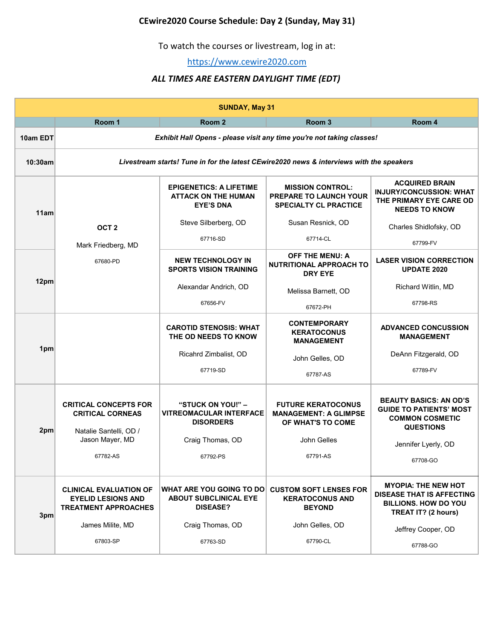# **CEwire2020 Course Schedule: Day 2 (Sunday, May 31)**

To watch the courses or livestream, log in at:

https://www.cewire2020.com

### *ALL TIMES ARE EASTERN DAYLIGHT TIME (EDT)*

| <b>SUNDAY, May 31</b> |                                                                                           |                                                                                  |                                                                                   |                                                                                                                      |  |
|-----------------------|-------------------------------------------------------------------------------------------|----------------------------------------------------------------------------------|-----------------------------------------------------------------------------------|----------------------------------------------------------------------------------------------------------------------|--|
|                       | Room 1                                                                                    | Room <sub>2</sub>                                                                | Room 3                                                                            | Room 4                                                                                                               |  |
| 10am EDT              | Exhibit Hall Opens - please visit any time you're not taking classes!                     |                                                                                  |                                                                                   |                                                                                                                      |  |
| 10:30am               | Livestream starts! Tune in for the latest CEwire2020 news & interviews with the speakers  |                                                                                  |                                                                                   |                                                                                                                      |  |
| 11am                  |                                                                                           | <b>EPIGENETICS: A LIFETIME</b><br><b>ATTACK ON THE HUMAN</b><br><b>EYE'S DNA</b> | <b>MISSION CONTROL:</b><br>PREPARE TO LAUNCH YOUR<br><b>SPECIALTY CL PRACTICE</b> | <b>ACQUIRED BRAIN</b><br><b>INJURY/CONCUSSION: WHAT</b><br>THE PRIMARY EYE CARE OD<br><b>NEEDS TO KNOW</b>           |  |
|                       | OCT <sub>2</sub>                                                                          | Steve Silberberg, OD                                                             | Susan Resnick, OD                                                                 | Charles Shidlofsky, OD                                                                                               |  |
|                       | Mark Friedberg, MD                                                                        | 67716-SD                                                                         | 67714-CL                                                                          | 67799-FV                                                                                                             |  |
|                       | 67680-PD                                                                                  | <b>NEW TECHNOLOGY IN</b><br><b>SPORTS VISION TRAINING</b>                        | <b>OFF THE MENU: A</b><br>NUTRITIONAL APPROACH TO<br><b>DRY EYE</b>               | <b>LASER VISION CORRECTION</b><br><b>UPDATE 2020</b>                                                                 |  |
| 12pm                  |                                                                                           | Alexandar Andrich, OD                                                            | Melissa Barnett, OD                                                               | Richard Witlin, MD                                                                                                   |  |
|                       |                                                                                           | 67656-FV                                                                         | 67672-PH                                                                          | 67798-RS                                                                                                             |  |
| 1pm                   |                                                                                           | <b>CAROTID STENOSIS: WHAT</b><br>THE OD NEEDS TO KNOW                            | <b>CONTEMPORARY</b><br><b>KERATOCONUS</b><br><b>MANAGEMENT</b>                    | <b>ADVANCED CONCUSSION</b><br><b>MANAGEMENT</b>                                                                      |  |
|                       |                                                                                           | Ricahrd Zimbalist, OD                                                            | John Gelles, OD                                                                   | DeAnn Fitzgerald, OD                                                                                                 |  |
|                       |                                                                                           | 67719-SD                                                                         | 67787-AS                                                                          | 67789-FV                                                                                                             |  |
| 2pm                   | <b>CRITICAL CONCEPTS FOR</b><br><b>CRITICAL CORNEAS</b><br>Natalie Santelli, OD /         | "STUCK ON YOU!" -<br><b>VITREOMACULAR INTERFACE</b><br><b>DISORDERS</b>          | <b>FUTURE KERATOCONUS</b><br><b>MANAGEMENT: A GLIMPSE</b><br>OF WHAT'S TO COME    | <b>BEAUTY BASICS: AN OD'S</b><br><b>GUIDE TO PATIENTS' MOST</b><br><b>COMMON COSMETIC</b><br><b>QUESTIONS</b>        |  |
|                       | Jason Mayer, MD                                                                           | Craig Thomas, OD                                                                 | John Gelles                                                                       | Jennifer Lyerly, OD                                                                                                  |  |
|                       | 67782-AS                                                                                  | 67792-PS                                                                         | 67791-AS                                                                          | 67708-GO                                                                                                             |  |
| 3pm                   | <b>CLINICAL EVALUATION OF</b><br><b>EYELID LESIONS AND</b><br><b>TREATMENT APPROACHES</b> | WHAT ARE YOU GOING TO DO<br><b>ABOUT SUBCLINICAL EYE</b><br><b>DISEASE?</b>      | <b>CUSTOM SOFT LENSES FOR</b><br><b>KERATOCONUS AND</b><br><b>BEYOND</b>          | <b>MYOPIA: THE NEW HOT</b><br><b>DISEASE THAT IS AFFECTING</b><br><b>BILLIONS. HOW DO YOU</b><br>TREAT IT? (2 hours) |  |
|                       | James Milite, MD                                                                          | Craig Thomas, OD                                                                 | John Gelles, OD                                                                   | Jeffrey Cooper, OD                                                                                                   |  |
|                       | 67803-SP                                                                                  | 67763-SD                                                                         | 67790-CL                                                                          | 67788-GO                                                                                                             |  |